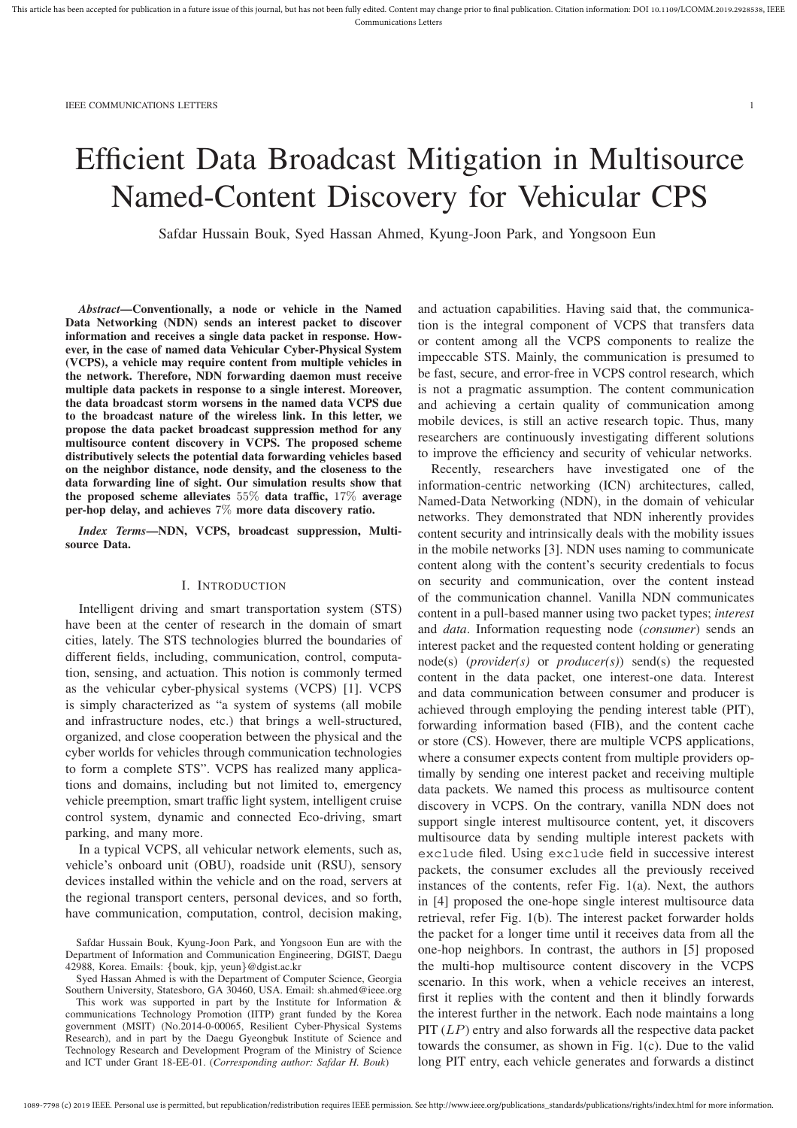# Efficient Data Broadcast Mitigation in Multisource Named-Content Discovery for Vehicular CPS

Safdar Hussain Bouk, Syed Hassan Ahmed, Kyung-Joon Park, and Yongsoon Eun

*Abstract***—Conventionally, a node or vehicle in the Named Data Networking (NDN) sends an interest packet to discover information and receives a single data packet in response. However, in the case of named data Vehicular Cyber-Physical System (VCPS), a vehicle may require content from multiple vehicles in the network. Therefore, NDN forwarding daemon must receive multiple data packets in response to a single interest. Moreover, the data broadcast storm worsens in the named data VCPS due to the broadcast nature of the wireless link. In this letter, we propose the data packet broadcast suppression method for any multisource content discovery in VCPS. The proposed scheme distributively selects the potential data forwarding vehicles based on the neighbor distance, node density, and the closeness to the data forwarding line of sight. Our simulation results show that the proposed scheme alleviates** 55% **data traffic,** 17% **average per-hop delay, and achieves** 7% **more data discovery ratio.**

*Index Terms***—NDN, VCPS, broadcast suppression, Multisource Data.**

### I. INTRODUCTION

Intelligent driving and smart transportation system (STS) have been at the center of research in the domain of smart cities, lately. The STS technologies blurred the boundaries of different fields, including, communication, control, computation, sensing, and actuation. This notion is commonly termed as the vehicular cyber-physical systems (VCPS) [1]. VCPS is simply characterized as "a system of systems (all mobile and infrastructure nodes, etc.) that brings a well-structured, organized, and close cooperation between the physical and the cyber worlds for vehicles through communication technologies to form a complete STS". VCPS has realized many applications and domains, including but not limited to, emergency vehicle preemption, smart traffic light system, intelligent cruise control system, dynamic and connected Eco-driving, smart parking, and many more.

In a typical VCPS, all vehicular network elements, such as, vehicle's onboard unit (OBU), roadside unit (RSU), sensory devices installed within the vehicle and on the road, servers at the regional transport centers, personal devices, and so forth, have communication, computation, control, decision making,

Syed Hassan Ahmed is with the Department of Computer Science, Georgia Southern University, Statesboro, GA 30460, USA. Email: sh.ahmed@ieee.org

This work was supported in part by the Institute for Information & communications Technology Promotion (IITP) grant funded by the Korea government (MSIT) (No.2014-0-00065, Resilient Cyber-Physical Systems Research), and in part by the Daegu Gyeongbuk Institute of Science and Technology Research and Development Program of the Ministry of Science and ICT under Grant 18-EE-01. (*Corresponding author: Safdar H. Bouk*)

and actuation capabilities. Having said that, the communication is the integral component of VCPS that transfers data or content among all the VCPS components to realize the impeccable STS. Mainly, the communication is presumed to be fast, secure, and error-free in VCPS control research, which is not a pragmatic assumption. The content communication and achieving a certain quality of communication among mobile devices, is still an active research topic. Thus, many researchers are continuously investigating different solutions to improve the efficiency and security of vehicular networks.

Recently, researchers have investigated one of the information-centric networking (ICN) architectures, called, Named-Data Networking (NDN), in the domain of vehicular networks. They demonstrated that NDN inherently provides content security and intrinsically deals with the mobility issues in the mobile networks [3]. NDN uses naming to communicate content along with the content's security credentials to focus on security and communication, over the content instead of the communication channel. Vanilla NDN communicates content in a pull-based manner using two packet types; *interest* and *data*. Information requesting node (*consumer*) sends an interest packet and the requested content holding or generating node(s) (*provider(s)* or *producer(s)*) send(s) the requested content in the data packet, one interest-one data. Interest and data communication between consumer and producer is achieved through employing the pending interest table (PIT), forwarding information based (FIB), and the content cache or store (CS). However, there are multiple VCPS applications, where a consumer expects content from multiple providers optimally by sending one interest packet and receiving multiple data packets. We named this process as multisource content discovery in VCPS. On the contrary, vanilla NDN does not support single interest multisource content, yet, it discovers multisource data by sending multiple interest packets with exclude filed. Using exclude field in successive interest packets, the consumer excludes all the previously received instances of the contents, refer Fig. 1(a). Next, the authors in [4] proposed the one-hope single interest multisource data retrieval, refer Fig. 1(b). The interest packet forwarder holds the packet for a longer time until it receives data from all the one-hop neighbors. In contrast, the authors in [5] proposed the multi-hop multisource content discovery in the VCPS scenario. In this work, when a vehicle receives an interest, first it replies with the content and then it blindly forwards the interest further in the network. Each node maintains a long PIT (LP) entry and also forwards all the respective data packet towards the consumer, as shown in Fig. 1(c). Due to the valid long PIT entry, each vehicle generates and forwards a distinct

Safdar Hussain Bouk, Kyung-Joon Park, and Yongsoon Eun are with the Department of Information and Communication Engineering, DGIST, Daegu 42988, Korea. Emails: {bouk, kjp, yeun}@dgist.ac.kr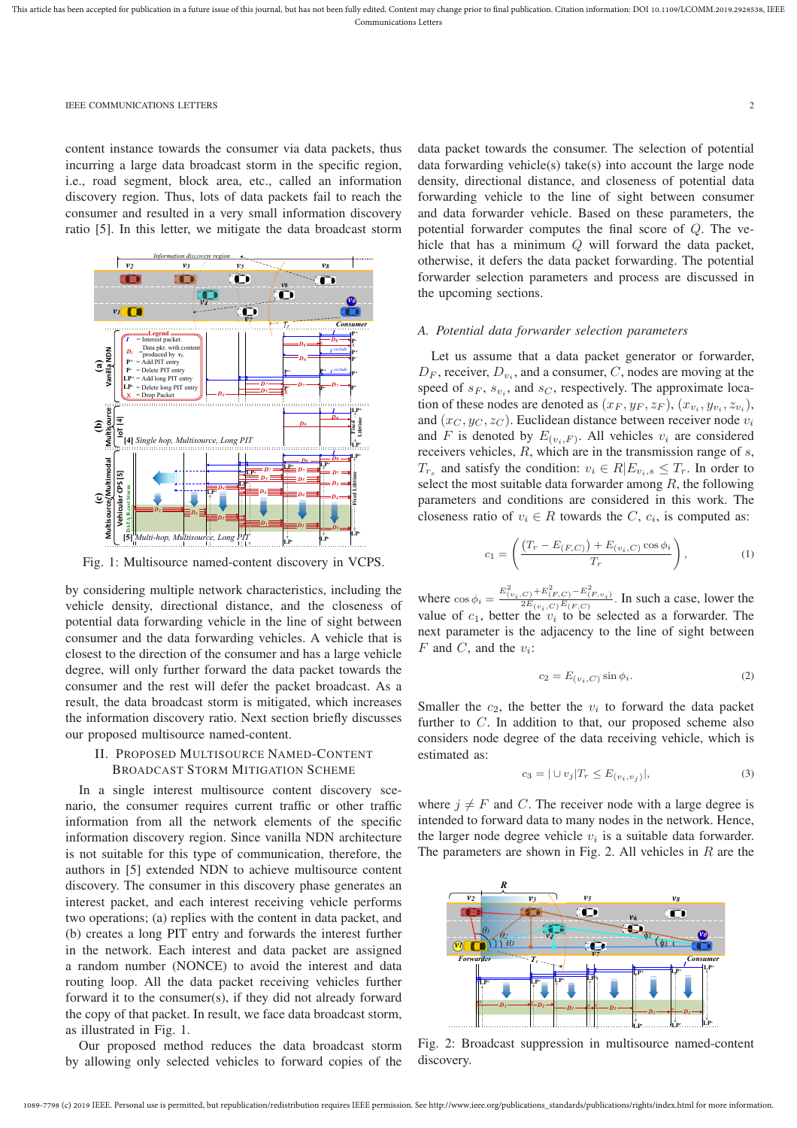#### IEEE COMMUNICATIONS LETTERS 2

content instance towards the consumer via data packets, thus incurring a large data broadcast storm in the specific region, i.e., road segment, block area, etc., called an information discovery region. Thus, lots of data packets fail to reach the consumer and resulted in a very small information discovery ratio [5]. In this letter, we mitigate the data broadcast storm



Fig. 1: Multisource named-content discovery in VCPS.

by considering multiple network characteristics, including the vehicle density, directional distance, and the closeness of potential data forwarding vehicle in the line of sight between consumer and the data forwarding vehicles. A vehicle that is closest to the direction of the consumer and has a large vehicle degree, will only further forward the data packet towards the consumer and the rest will defer the packet broadcast. As a result, the data broadcast storm is mitigated, which increases the information discovery ratio. Next section briefly discusses our proposed multisource named-content.

# II. PROPOSED MULTISOURCE NAMED-CONTENT BROADCAST STORM MITIGATION SCHEME

In a single interest multisource content discovery scenario, the consumer requires current traffic or other traffic information from all the network elements of the specific information discovery region. Since vanilla NDN architecture is not suitable for this type of communication, therefore, the authors in [5] extended NDN to achieve multisource content discovery. The consumer in this discovery phase generates an interest packet, and each interest receiving vehicle performs two operations; (a) replies with the content in data packet, and (b) creates a long PIT entry and forwards the interest further in the network. Each interest and data packet are assigned a random number (NONCE) to avoid the interest and data routing loop. All the data packet receiving vehicles further forward it to the consumer(s), if they did not already forward the copy of that packet. In result, we face data broadcast storm, as illustrated in Fig. 1.

Our proposed method reduces the data broadcast storm by allowing only selected vehicles to forward copies of the data packet towards the consumer. The selection of potential data forwarding vehicle(s) take(s) into account the large node density, directional distance, and closeness of potential data forwarding vehicle to the line of sight between consumer and data forwarder vehicle. Based on these parameters, the potential forwarder computes the final score of Q. The vehicle that has a minimum Q will forward the data packet, otherwise, it defers the data packet forwarding. The potential forwarder selection parameters and process are discussed in the upcoming sections.

#### *A. Potential data forwarder selection parameters*

Let us assume that a data packet generator or forwarder,  $D_F$ , receiver,  $D_{v_i}$ , and a consumer, C, nodes are moving at the speed of  $s_F$ ,  $s_{v_i}$ , and  $s_C$ , respectively. The approximate location of these nodes are denoted as  $(x_F, y_F, z_F)$ ,  $(x_{v_i}, y_{v_i}, z_{v_i})$ , and  $(x_C, y_C, z_C)$ . Euclidean distance between receiver node  $v_i$ and F is denoted by  $E_{(v_i, F)}$ . All vehicles  $v_i$  are considered receivers vehicles, R, which are in the transmission range of s,  $T_{r_s}$  and satisfy the condition:  $v_i \in R \mid E_{v_i,s} \leq T_r$ . In order to select the most suitable data forwarder among  $R$ , the following parameters and conditions are considered in this work. The closeness ratio of  $v_i \in R$  towards the C,  $c_i$ , is computed as:

$$
c_1 = \left( \frac{(T_r - E_{(F,C)}) + E_{(v_i, C)} \cos \phi_i}{T_r} \right),
$$
 (1)

where  $\cos \phi_i = \frac{E_{(v_i, C)}^2 + E_{(F, C)}^2 - E_{(F, v_i)}^2}{2E_{(v_i, C)}E_{(F, C)}}$ . In such a case, lower the value of  $c_1$ , better the  $v_i$  to be selected as a forwarder. The next parameter is the adjacency to the line of sight between F and C, and the  $v_i$ :

$$
c_2 = E_{(v_i, C)} \sin \phi_i.
$$
 (2)

Smaller the  $c_2$ , the better the  $v_i$  to forward the data packet further to C. In addition to that, our proposed scheme also considers node degree of the data receiving vehicle, which is estimated as:

$$
c_3 = |\cup v_j| T_r \le E_{(v_i, v_j)}|,
$$
\n(3)

where  $j \neq F$  and C. The receiver node with a large degree is intended to forward data to many nodes in the network. Hence, the larger node degree vehicle  $v_i$  is a suitable data forwarder. The parameters are shown in Fig. 2. All vehicles in  $R$  are the



Fig. 2: Broadcast suppression in multisource named-content discovery.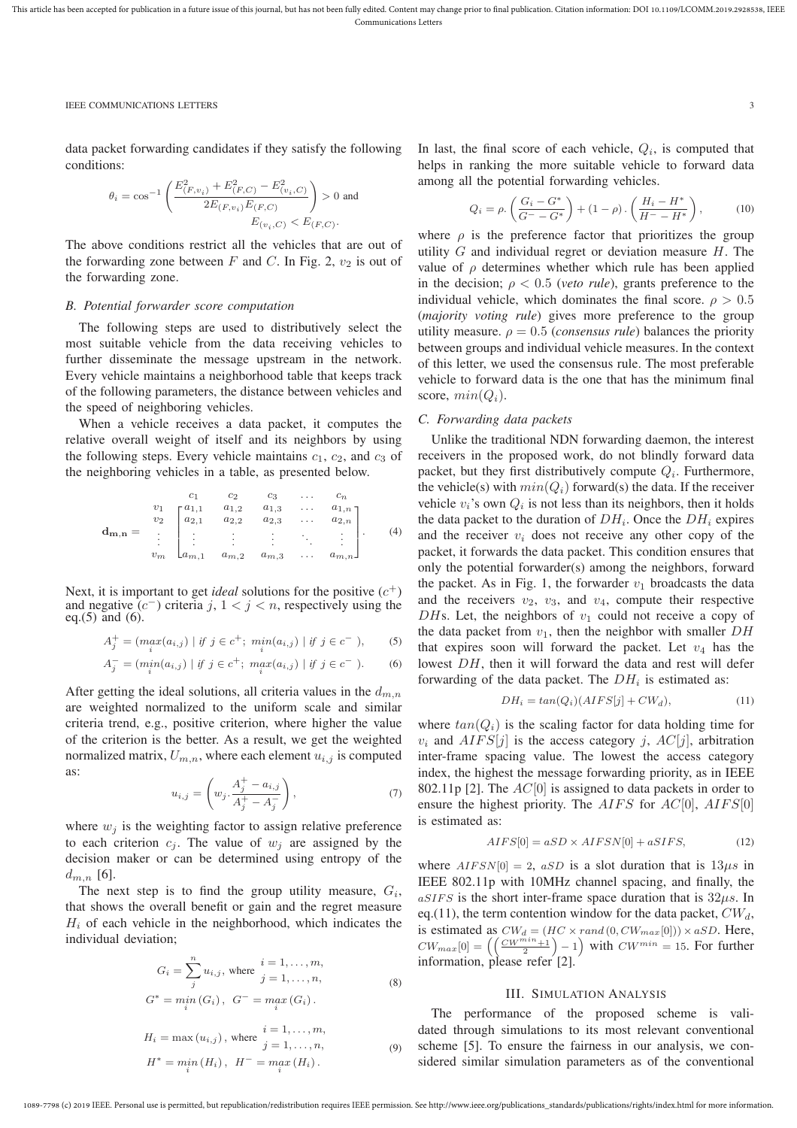#### IEEE COMMUNICATIONS LETTERS 3

data packet forwarding candidates if they satisfy the following conditions:

$$
\theta_i = \cos^{-1}\left(\frac{E_{(F,v_i)}^2 + E_{(F,C)}^2 - E_{(v_i,C)}^2}{2E_{(F,v_i)}E_{(F,C)}}\right) > 0 \text{ and}
$$

$$
E_{(v_i,C)} < E_{(F,C)}.
$$

The above conditions restrict all the vehicles that are out of the forwarding zone between  $F$  and  $C$ . In Fig. 2,  $v_2$  is out of the forwarding zone.

#### *B. Potential forwarder score computation*

The following steps are used to distributively select the most suitable vehicle from the data receiving vehicles to further disseminate the message upstream in the network. Every vehicle maintains a neighborhood table that keeps track of the following parameters, the distance between vehicles and the speed of neighboring vehicles.

When a vehicle receives a data packet, it computes the relative overall weight of itself and its neighbors by using the following steps. Every vehicle maintains  $c_1$ ,  $c_2$ , and  $c_3$  of the neighboring vehicles in a table, as presented below.

$$
\mathbf{d}_{\mathbf{m},\mathbf{n}} = \begin{bmatrix} c_1 & c_2 & c_3 & \dots & c_n \\ v_1 & a_{1,1} & a_{1,2} & a_{1,3} & \dots & a_{1,n} \\ v_2 & a_{2,1} & a_{2,2} & a_{2,3} & \dots & a_{2,n} \\ \vdots & \vdots & \vdots & \vdots & \ddots & \vdots \\ v_m & a_{m,1} & a_{m,2} & a_{m,3} & \dots & a_{m,n} \end{bmatrix} . \tag{4}
$$

Next, it is important to get *ideal* solutions for the positive  $(c^+)$ and negative  $(c^-)$  criteria j,  $1 < j < n$ , respectively using the eq.(5) and (6).

$$
A_j^+ = (max_i(a_{i,j}) \mid \text{if } j \in c^+; \ \min_i(a_{i,j}) \mid \text{if } j \in c^-), \tag{5}
$$

$$
A_j^- = (min_i(a_{i,j}) \mid \text{if } j \in c^+; \ max_i(a_{i,j}) \mid \text{if } j \in c^-). \tag{6}
$$

After getting the ideal solutions, all criteria values in the  $d_{m,n}$ are weighted normalized to the uniform scale and similar criteria trend, e.g., positive criterion, where higher the value of the criterion is the better. As a result, we get the weighted normalized matrix,  $U_{m,n}$ , where each element  $u_{i,j}$  is computed as:

$$
u_{i,j} = \left(w_j \cdot \frac{A_j^+ - a_{i,j}}{A_j^+ - A_j^-}\right),\tag{7}
$$

where  $w_j$  is the weighting factor to assign relative preference to each criterion  $c_j$ . The value of  $w_j$  are assigned by the decision maker or can be determined using entropy of the  $d_{m,n}$  [6].

The next step is to find the group utility measure,  $G_i$ , that shows the overall benefit or gain and the regret measure  $H_i$  of each vehicle in the neighborhood, which indicates the individual deviation;

$$
G_i = \sum_{j}^{n} u_{i,j}, \text{ where } \begin{aligned} i &= 1, \dots, m, \\ j &= 1, \dots, n, \\ G^* &= m_i^i(G_i), \ G^- = m_i^x(G_i). \end{aligned} \tag{8}
$$

$$
H_i = \max(u_{i,j}), \text{ where } \begin{aligned} i &= 1, \dots, m, \\ j &= 1, \dots, n, \\ H^* &= \min_i(H_i), \ H^- = \max_i(H_i). \end{aligned} \tag{9}
$$

In last, the final score of each vehicle,  $Q_i$ , is computed that helps in ranking the more suitable vehicle to forward data among all the potential forwarding vehicles.

$$
Q_i = \rho. \left( \frac{G_i - G^*}{G^- - G^*} \right) + (1 - \rho) \cdot \left( \frac{H_i - H^*}{H^- - H^*} \right), \tag{10}
$$

where  $\rho$  is the preference factor that prioritizes the group utility  $G$  and individual regret or deviation measure  $H$ . The value of  $\rho$  determines whether which rule has been applied in the decision;  $\rho < 0.5$  (*veto rule*), grants preference to the individual vehicle, which dominates the final score.  $\rho > 0.5$ (*majority voting rule*) gives more preference to the group utility measure.  $\rho = 0.5$  (*consensus rule*) balances the priority between groups and individual vehicle measures. In the context of this letter, we used the consensus rule. The most preferable vehicle to forward data is the one that has the minimum final score,  $min(Q_i)$ .

#### *C. Forwarding data packets*

Unlike the traditional NDN forwarding daemon, the interest receivers in the proposed work, do not blindly forward data packet, but they first distributively compute  $Q_i$ . Furthermore, the vehicle(s) with  $min(Q_i)$  forward(s) the data. If the receiver vehicle  $v_i$ 's own  $Q_i$  is not less than its neighbors, then it holds the data packet to the duration of  $DH_i$ . Once the  $DH_i$  expires and the receiver  $v_i$  does not receive any other copy of the packet, it forwards the data packet. This condition ensures that only the potential forwarder(s) among the neighbors, forward the packet. As in Fig. 1, the forwarder  $v_1$  broadcasts the data and the receivers  $v_2$ ,  $v_3$ , and  $v_4$ , compute their respective DHs. Let, the neighbors of  $v_1$  could not receive a copy of the data packet from  $v_1$ , then the neighbor with smaller  $DH$ that expires soon will forward the packet. Let  $v_4$  has the lowest DH, then it will forward the data and rest will defer forwarding of the data packet. The  $DH_i$  is estimated as:

$$
DH_i = \tan(Q_i)(AIFS[j] + CW_d),\tag{11}
$$

where  $tan(Q<sub>i</sub>)$  is the scaling factor for data holding time for  $v_i$  and  $AIFS[j]$  is the access category *i*,  $AC[j]$ , arbitration inter-frame spacing value. The lowest the access category index, the highest the message forwarding priority, as in IEEE 802.11p [2]. The  $AC[0]$  is assigned to data packets in order to ensure the highest priority. The  $AIFS$  for  $AC[0]$ ,  $AIFS[0]$ is estimated as:

$$
AIFS[0] = aSD \times AIFSN[0] + aSIFS,
$$
\n(12)

where  $AIFSN[0] = 2$ ,  $aSD$  is a slot duration that is  $13\mu s$  in IEEE 802.11p with 10MHz channel spacing, and finally, the  $aSIFS$  is the short inter-frame space duration that is  $32\mu s$ . In eq.(11), the term contention window for the data packet,  $CW_d$ , is estimated as  $CW_d = (HC \times rand(0, CW_{max}[0])) \times aSD$ . Here,  $CW_{max}[0] = \left( \left( \frac{CW^{min}+1}{2} \right) - 1 \right)$  with  $CW^{min} = 15$ . For further information, please refer [2].

# III. SIMULATION ANALYSIS

The performance of the proposed scheme is validated through simulations to its most relevant conventional scheme [5]. To ensure the fairness in our analysis, we considered similar simulation parameters as of the conventional